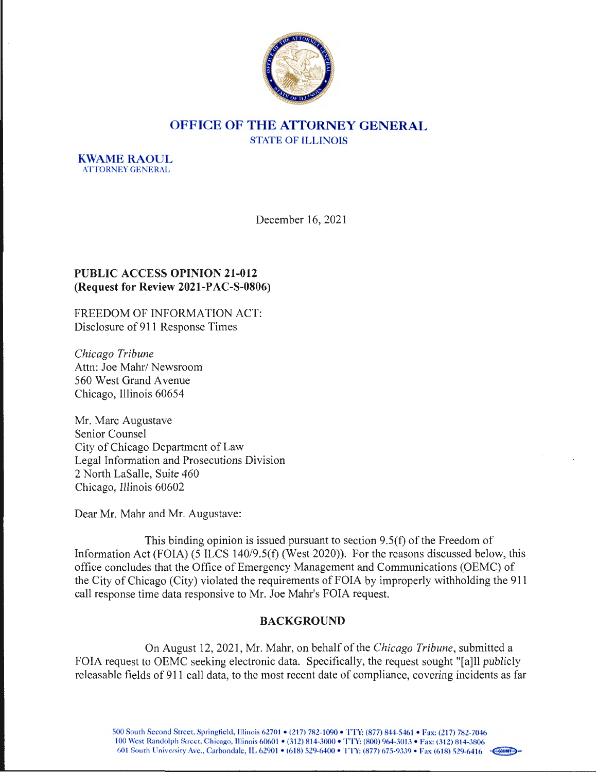

# **OFFICE OF THE ATTORNEY GENERAL**  STATE OF **ILLINOIS**

**KWAME RAOUL ATTORNEY GENERAL** 

December 16, 2021

## **PUBLIC ACCESS OPINION 21-012 (Request for Review 2021-PAC-S-0806)**

FREEDOM OF INFORMATION ACT: Disclosure of 911 Response Times

*Chicago Tribune*  Attn: Joe Mahr/ Newsroom 560 West Grand Avenue Chicago, Illinois 60654

Mr. Marc Augustave Senior Counsel City of Chicago Department of Law Legal Information and Prosecutions Division 2 North LaSalle, Suite 460 Chicago, Illinois 60602

Dear Mr. Mahr and Mr. Augustave:

This binding opinion is issued pursuant to section 9.5(f) of the Freedom of Information Act (FOIA) (5 ILCS 140/9.5(f) (West 2020)). For the reasons discussed below, this office concludes that the Office of Emergency Management and Communications (OEMC) of the City of Chicago (City) violated the requirements of FOIA by improperly withholding the 911 call response time data responsive to Mr. Joe Mahr's FOIA request.

# **BACKGROUND**

On August 12, 2021 , Mr. Mahr, on behalf of the *Chicago Tribune ,* submitted a FOIA request to OEMC seeking electronic data. Specifically, the request sought "[a]ll publicly releasable fields of 911 call data, to the most recent date of compliance, covering incidents as far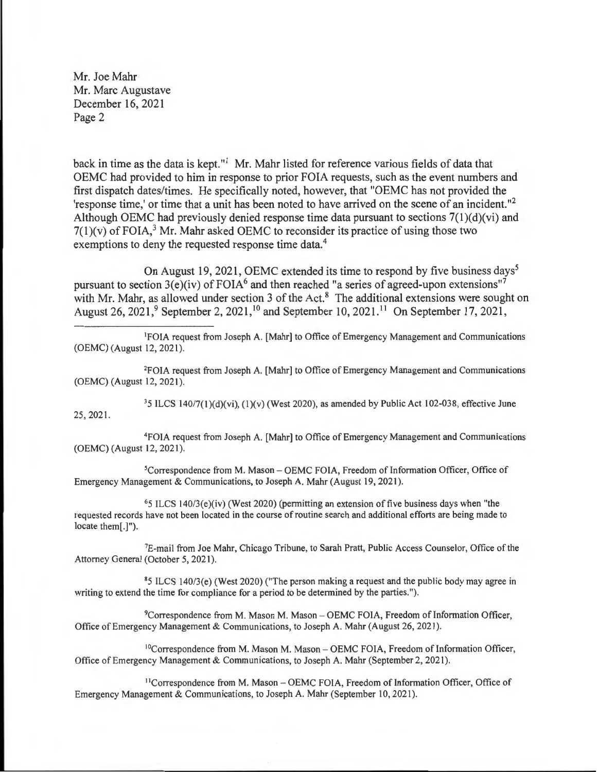back in time as the data is kept."<sup>1</sup> Mr. Mahr listed for reference various fields of data that OEMC had provided to him in response to prior FOIA requests, such as the event numbers and first dispatch dates/times. He specifically noted, however, that "OEMC has not provided the 'response time,' or time that a unit has been noted to have arrived on the scene of an incident. " 2 Although OEMC had previously denied response time data pursuant to sections 7(1)(d)(vi) and  $7(1)(v)$  of FOIA,<sup>3</sup> Mr. Mahr asked OEMC to reconsider its practice of using those two exemptions to deny the requested response time data.<sup>4</sup>

On August 19, 2021, OEMC extended its time to respond by five business days<sup>5</sup> pursuant to section  $3(e)(iv)$  of FOIA<sup>6</sup> and then reached "a series of agreed-upon extensions"<sup>7</sup> with Mr. Mahr, as allowed under section 3 of the Act.<sup>8</sup> The additional extensions were sought on August 26, 2021,<sup>9</sup> September 2, 2021,<sup>10</sup> and September 10, 2021.<sup>11</sup> On September 17, 2021,

1 FOIA request from Joseph A. [Mahr] to Office of Emergency Management and Communications (OEMC) (August 12, 2021 ).

2FOIA request from Joseph A. [Mahr] to Office of Emergency Management and Communications (OEMC) (August 12, 2021 ).

25, 2021.

 $35$  ILCS 140/7(1)(d)(vi), (1)(v) (West 2020), as amended by Public Act 102-038, effective June

4FOIA request from Joseph A. [Mahr] to Office of Emergency Management and Communications (OEMC) (August 12, 2021).

<sup>5</sup>Correspondence from M. Mason - OEMC FOIA, Freedom of Information Officer, Office of Emergency Management & Communications, to Joseph A. Mahr (August 19, 2021).

 $65$  ILCS 140/3(e)(iv) (West 2020) (permitting an extension of five business days when "the requested records have not been located in the course of routine search and additional efforts are being made to locate them[.)").

<sup>7</sup>E-mail from Joe Mahr, Chicago Tribune, to Sarah Pratt, Public Access Counselor, Office of the Attorney General (October 5, 2021).

85 ILCS 140/3(e) (West 2020) ("The person making a request and the public body may agree in writing to extend the time for compliance for a period to be determined by the parties.").

<sup>9</sup>Correspondence from M. Mason M. Mason - OEMC FOIA, Freedom of Information Officer, Office of Emergency Management & Communications, to Joseph A. Mahr (August 26, 2021 ).

<sup>10</sup>Correspondence from M. Mason M. Mason - OEMC FOIA, Freedom of Information Officer, Office of Emergency Management & Communications, to Joseph A. Mahr (September 2, 2021).

11Correspondence from M. Mason - OEMC FOIA, Freedom of Information Officer, Office of Emergency Management & Communications, to Joseph A. Mahr (September 10, 2021).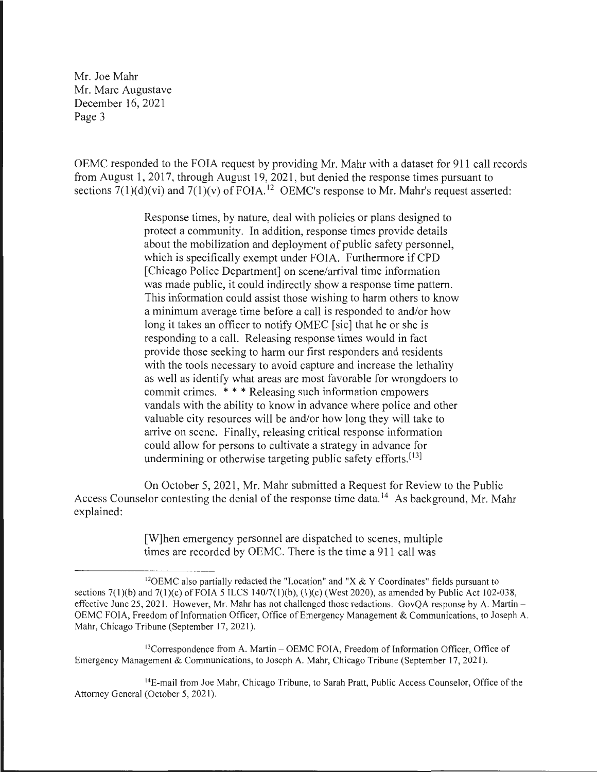OEMC responded to the FOIA request by providing Mr. Mahr with a dataset for 911 call records from August 1, 2017, through August 19, 2021 , but denied the response times pursuant to sections  $7(1)(d)(vi)$  and  $7(1)(v)$  of FOIA.<sup>12</sup> OEMC's response to Mr. Mahr's request asserted:

> Response times, by nature, deal with policies or plans designed to protect a community. In addition, response times provide details about the mobilization and deployment of public safety personnel, which is specifically exempt under FOIA. Furthermore if CPD [Chicago Police Department] on scene/arrival time information was made public, it could indirectly show a response time pattern. This information could assist those wishing to harm others to know a minimum average time before a call is responded to and/or how long it takes an officer to notify OMEC [sic] that he or she is responding to a call. Releasing response times would in fact provide those seeking to harm our first responders and residents with the tools necessary to avoid capture and increase the lethality as well as identify what areas are most favorable for wrongdoers to commit crimes. \* \* \* Releasing such information empowers vandals with the ability to know in advance where police and other valuable city resources will be and/or how long they will take to arrive on scene. Finally, releasing critical response information could allow for persons to cultivate a strategy in advance for undermining or otherwise targeting public safety efforts.<sup>[13]</sup>

On October 5, 2021, Mr. Mahr submitted a Request for Review to the Public Access Counselor contesting the denial of the response time data.<sup>14</sup> As background, Mr. Mahr explained:

> [W]hen emergency personnel are dispatched to scenes, multiple times are recorded by OEMC. There is the time a 911 call was

<sup>13</sup>Correspondence from A. Martin – OEMC FOIA, Freedom of Information Officer, Office of Emergency Management & Communications, to Joseph A. Mahr, Chicago Tribune (September 17, 2021 ).

<sup>14</sup>E-mail from Joe Mahr, Chicago Tribune, to Sarah Pratt, Public Access Counselor, Office of the Attorney General (October 5, 2021).

<sup>&</sup>lt;sup>12</sup>OEMC also partially redacted the "Location" and "X & Y Coordinates" fields pursuant to sections  $7(1)(b)$  and  $7(1)(c)$  of FOIA 5 ILCS 140/7(1)(b), (1)(c) (West 2020), as amended by Public Act 102-038, effective June 25, 2021. However, Mr. Mahr has not challenged those redactions. GovQA response by A. Martin -OEMC FOIA, Freedom of Information Officer, Office of Emergency Management & Communications, to Joseph A. Mahr, Chicago Tribune (September 17, 2021).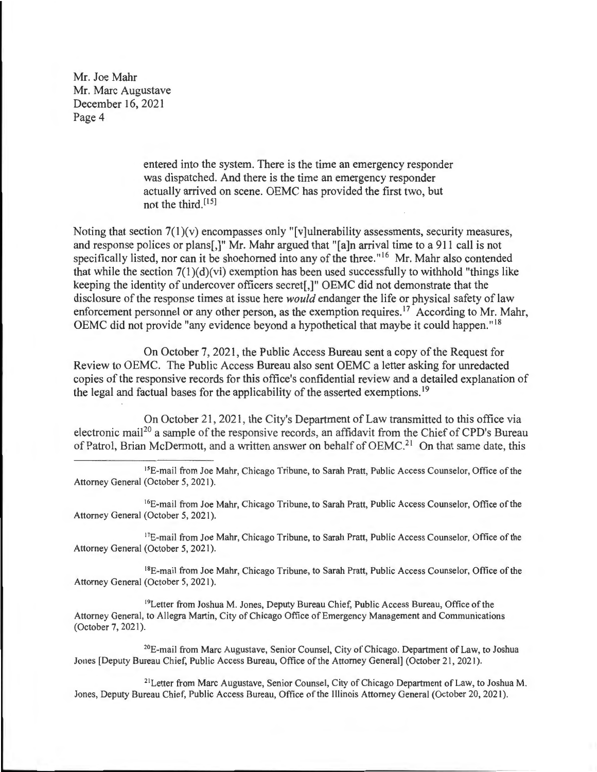> entered into the system. There is the time an emergency responder was dispatched. And there is the time an emergency responder actually arrived on scene. OEMC has provided the first two, but not the third.  $[15]$

Noting that section 7(1)(v) encompasses only "[v]ulnerability assessments, security measures, and response polices or plans[,]" Mr. Mahr argued that "[a]n arrival time to a 911 call is not specifically listed, nor can it be shoehorned into any of the three."<sup>16</sup> Mr. Mahr also contended that while the section  $7(1)(d)(vi)$  exemption has been used successfully to withhold "things like" keeping the identity of undercover officers secret[,]" OEMC did not demonstrate that the disclosure of the response times at issue here *would* endanger the life or physical safety of law enforcement personnel or any other person, as the exemption requires.<sup>17</sup> According to Mr. Mahr, OEMC did not provide "any evidence beyond a hypothetical that maybe it could happen." <sup>18</sup>

On October 7, 2021, the Public Access Bureau sent a copy of the Request for Review to OEMC. The Public Access Bureau also sent OEMC a letter asking for unredacted copies of the responsive records for this office's confidential review and a detailed explanation of the legal and factual bases for the applicability of the asserted exemptions.<sup>19</sup>

On October 21, 2021, the City's Department of Law transmitted to this office via electronic mail<sup>20</sup> a sample of the responsive records, an affidavit from the Chief of CPD's Bureau of Patrol, Brian McDermott, and a written answer on behalf of OEMC.<sup>21</sup> On that same date, this

<sup>15</sup>E-mail from Joe Mahr, Chicago Tribune, to Sarah Pratt, Public Access Counselor, Office of the Attorney General (October 5, 2021).

<sup>16</sup>E-mail from Joe Mahr, Chicago Tribune, to Sarah Pratt, Public Access Counselor, Office of the Attorney General (October 5, 2021).

<sup>17</sup>E-mail from Joe Mahr, Chicago Tribune, to Sarah Pratt, Public Access Counselor, Office of the Attorney General (October 5, 2021).

<sup>18</sup>E-mail from Joe Mahr, Chicago Tribune, to Sarah Pratt, Public Access Counselor, Office of the Attorney General (October 5, 2021).

<sup>19</sup>Letter from Joshua M. Jones, Deputy Bureau Chief, Public Access Bureau, Office of the Attorney General, to Allegra Martin, City of Chicago Office of Emergency Management and Communications (October 7, 2021).

20E-mail from Marc Augustave, Senior Counsel, City of Chicago. Department of Law, to Joshua Jones [Deputy Bureau Chief, Public Access Bureau, Office of the Attorney General] (October 21 , 2021 ).

<sup>21</sup> Letter from Marc Augustave, Senior Counsel, City of Chicago Department of Law, to Joshua M. Jones, Deputy Bureau Chief, Public Access Bureau, Office of the Illinois Attorney General (October 20, 2021).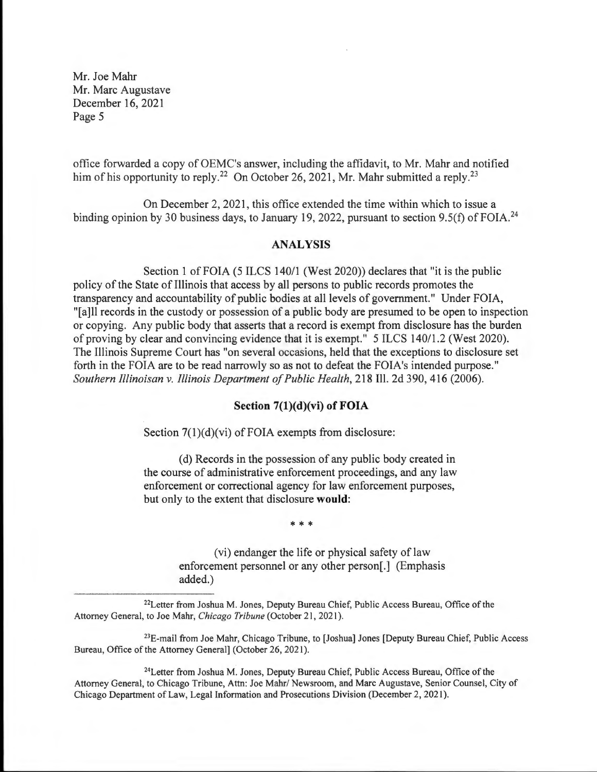office forwarded a copy of OEMC's answer, including the affidavit, to Mr. Mahr and notified him of his opportunity to reply.<sup>22</sup> On October 26, 2021, Mr. Mahr submitted a reply.<sup>23</sup>

On December 2, 2021 , this office extended the time within which to issue a binding opinion by 30 business days, to January 19, 2022, pursuant to section 9.5(f) of FOIA.<sup>24</sup>

#### **ANALYSIS**

Section 1 of FOIA (5 ILCS 140/1 (West 2020)) declares that "it is the public policy of the State of Illinois that access by all persons to public records promotes the transparency and accountability of public bodies at all levels of government." Under FOIA, "[a]ll records in the custody or possession of a public body are presumed to be open to inspection or copying. Any public body that asserts that a record is exempt from disclosure has the burden of proving by clear and convincing evidence that it is exempt." 5 ILCS 140/1.2 (West 2020). The Illinois Supreme Court has "on several occasions, held that the exceptions to disclosure set forth in the FOIA are to be read narrowly so as not to defeat the FOIA's intended purpose." *Southern Illinoisan v. Illinois Department of Public Health,* 218 Ill. 2d 390, 416 (2006).

#### **Section 7(1)(d)(vi) of FOIA**

Section 7(1)(d)(vi) of FOIA exempts from disclosure:

( d) Records in the possession of any public body created in the course of administrative enforcement proceedings, and any law enforcement or correctional agency for law enforcement purposes, but only to the extent that disclosure **would:** 

\* \* \*

(vi) endanger the life or physical safety of law enforcement personnel or any other person[.] (Emphasis added.)

22Letter from Joshua **M.** Jones, Deputy Bureau Chief, Public Access Bureau, Office of the Attorney General, to Joe Mahr, *Chicago Tribune* (October 21, 2021 ).

 $23E$ -mail from Joe Mahr, Chicago Tribune, to [Joshua] Jones [Deputy Bureau Chief, Public Access Bureau, Office of the Attorney General] (October 26, 2021).

24Letter from Joshua **M.** Jones, Deputy Bureau Chief, Public Access Bureau, Office of the Attorney General, to Chicago Tribune, Attn: Joe Mahr/ Newsroom, and Marc Augustave, Senior Counsel, City of Chicago Department of Law, Legal Information and Prosecutions Division (December 2, 2021 ).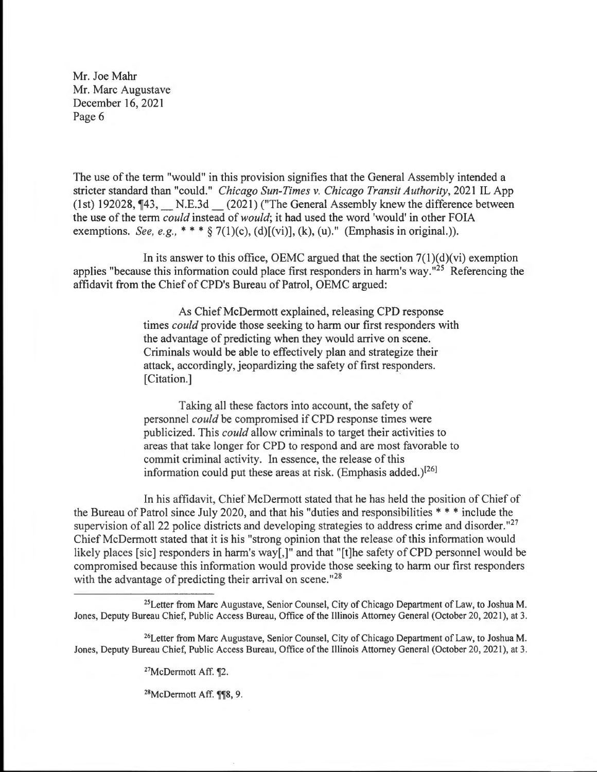The use of the term "would" in this provision signifies that the General Assembly intended a stricter standard than "could." *Chicago Sun-Times v. Chicago Transit Authority,* 2021 IL App (1st) 192028,  $\P$ 43, N.E.3d (2021) ("The General Assembly knew the difference between the use of the term *could* instead of *would;* it had used the word 'would' in other FOIA exemptions. *See, e.g.*,  $**$   $\frac{1}{2}$  7(1)(c), (d)[(vi)], (k), (u)." (Emphasis in original.)).

In its answer to this office, OEMC argued that the section  $7(1)(d)(vi)$  exemption applies "because this information could place first responders in harm's way."<sup>25</sup> Referencing the affidavit from the Chief of CPD's Bureau of Patrol, OEMC argued:

> As Chief McDermott explained, releasing CPD response times *could* provide those seeking to harm our first responders with the advantage of predicting when they would arrive on scene. Criminals would be able to effectively plan and strategize their attack, accordingly, jeopardizing the safety of first responders. [Citation.]

> Taking all these factors into account, the safety of personnel *could* be compromised if CPD response times were publicized. This *could* allow criminals to target their activities to areas that take longer for CPD to respond and are most favorable to commit criminal activity. In essence, the release of this information could put these areas at risk. (Emphasis added.)<sup>[26]</sup>

In his affidavit, Chief McDermott stated that he has held the position of Chief of the Bureau of Patrol since July 2020, and that his "duties and responsibilities  $**$ " include the supervision of all 22 police districts and developing strategies to address crime and disorder."<sup>27</sup> Chief McDermott stated that it is his "strong opinion that the release of this information would likely places [sic] responders in harm's way[,]" and that "[t]he safety of CPD personnel would be compromised because this information would provide those seeking to harm our first responders with the advantage of predicting their arrival on scene."<sup>28</sup>

26Letter from Marc Augustave, Senior Counsel, City of Chicago Department of Law, to Joshua M. Jones, Deputy Bureau Chief, Public Access Bureau, Office of the Illinois Attorney General (October 20, 2021), at 3.

 $27$ McDermott Aff.  $\P2$ .

 $28$ McDermott Aff.  $\P$ <sup>8</sup>, 9.

<sup>&</sup>lt;sup>25</sup>Letter from Marc Augustave, Senior Counsel, City of Chicago Department of Law, to Joshua M. Jones, Deputy Bureau Chief, Public Access Bureau, Office of the Illinois Attorney General (October 20, 2021), at 3.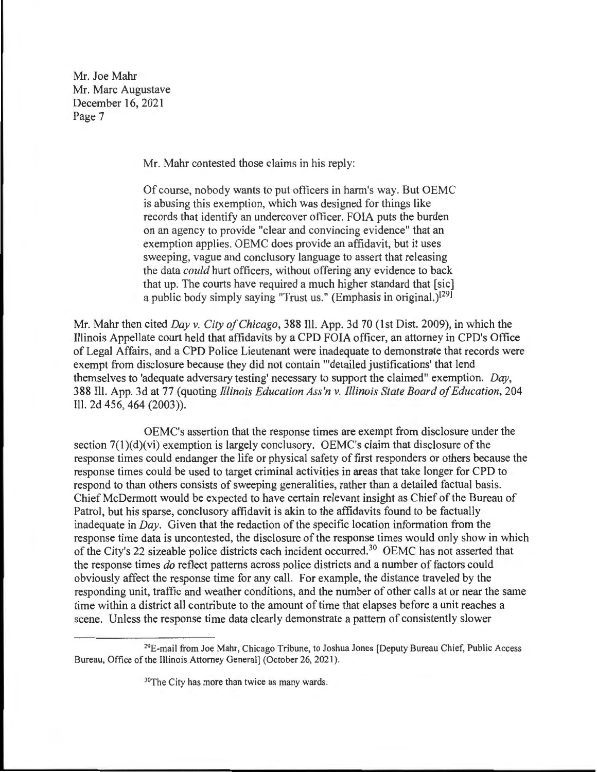Mr. Mahr contested those claims in his reply:

Of course, nobody wants to put officers in harm's way. But OEMC is abusing this exemption, which was designed for things like records that identify an undercover officer. FOIA puts the burden on an agency to provide "clear and convincing evidence" that an exemption applies. OEMC does provide an affidavit, but it uses sweeping, vague and conclusory language to assert that releasing the data *could* hurt officers, without offering any evidence to back that up. The courts have required a much higher standard that [sic] a public body simply saying "Trust us." (Emphasis in original.)<sup>[29]</sup>

Mr. Mahr then cited *Day v. City of Chicago,* 388 Ill. App. 3d 70 (1st Dist. 2009), in which the Illinois Appellate court held that affidavits by a CPD FOIA officer, an attorney in CPD's Office of Legal Affairs, and a CPD Police Lieutenant were inadequate to demonstrate that records were exempt from disclosure because they did not contain "'detailed justifications' that lend themselves to 'adequate adversary testing' necessary to support the claimed" exemption. *Day,*  388 Ill. App. 3d at 77 (quoting *Illinois Education Ass'n v. Illinois State Board of Education,* 204 Ill. 2d 456,464 (2003)).

OEMC's assertion that the response times are exempt from disclosure under the section  $7(1)(d)(vi)$  exemption is largely conclusory. OEMC's claim that disclosure of the response times could endanger the life or physical safety of first responders or others because the response times could be used to target criminal activities in areas that take longer for CPD to respond to than others consists of sweeping generalities, rather than a detailed factual basis. Chief McDermott would be expected to have certain relevant insight as Chief of the Bureau of Patrol, but his sparse, conclusory affidavit is akin to the affidavits found to be factually inadequate in *Day.* Given that the redaction of the specific location information from the response time data is uncontested, the disclosure of the response times would only show in which of the City's 22 sizeable police districts each incident occurred.30 OEMC has not asserted that the response times *do* reflect patterns across police districts and a number of factors could obviously affect the response time for any call. For example, the distance traveled by the responding unit, traffic and weather conditions, and the number of other calls at or near the same time within a district all contribute to the amount of time that elapses before a unit reaches a scene. Unless the response time data clearly demonstrate a pattern of consistently slower

<sup>29</sup>E-mail from Joe Mahr, Chicago Tribune, to Joshua Jones [Deputy Bureau Chief, Public Access Bureau, Office of the Illinois Attorney General] (October 26, 2021).

<sup>&</sup>lt;sup>30</sup>The City has more than twice as many wards.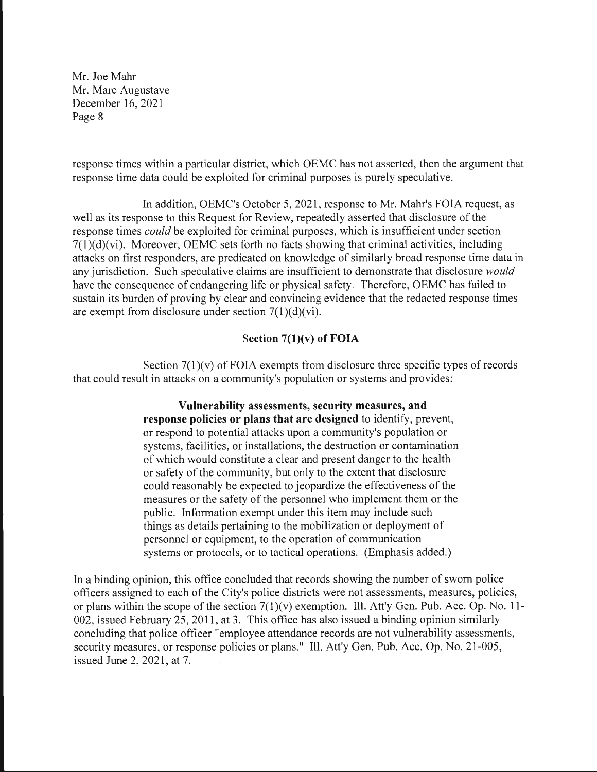response times within a particular district, which OEMC has not asserted, then the argument that response time data could be exploited for criminal purposes is purely speculative.

In addition, OEMC's October 5, 2021 , response to Mr. Mahr's FOIA request, as well as its response to this Request for Review, repeatedly asserted that disclosure of the response times *could* be exploited for criminal purposes, which is insufficient under section 7(1)(d)(vi). Moreover, OEMC sets forth no facts showing that criminal activities, including attacks on first responders, are predicated on knowledge of similarly broad response time data in any jurisdiction. Such speculative claims are insufficient to demonstrate that disclosure *would*  have the consequence of endangering life or physical safety. Therefore, OEMC has failed to sustain its burden of proving by clear and convincing evidence that the redacted response times are exempt from disclosure under section  $7(1)(d)(vi)$ .

### **Section 7(1)(v) of FOIA**

Section  $7(1)(v)$  of FOIA exempts from disclosure three specific types of records that could result in attacks on a community's population or systems and provides:

> **Vulnerability assessments, security measures, and response policies or plans that are designed** to identify, prevent, or respond to potential attacks upon a community's population or systems, facilities, or installations, the destruction or contamination of which would constitute a clear and present danger to the health or safety of the community, but only to the extent that disclosure could reasonably be expected to jeopardize the effectiveness of the measures or the safety of the personnel who implement them or the public. Information exempt under this item may include such things as details pertaining to the mobilization or deployment of personnel or equipment, to the operation of communication systems or protocols, or to tactical operations. (Emphasis added.)

In a binding opinion, this office concluded that records showing the number of sworn police officers assigned to each of the City's police districts were not assessments, measures, policies, or plans within the scope of the section 7(1)(v) exemption. Ill. Att'y Gen. Pub. Acc. Op. No. 11- 002, issued February 25, 2011 , at 3. This office has also issued a binding opinion similarly concluding that police officer "employee attendance records are not vulnerability assessments, security measures, or response policies or plans." Ill. Att'y Gen. Pub. Acc. Op. No. 21-005, issued June 2, 2021, at 7.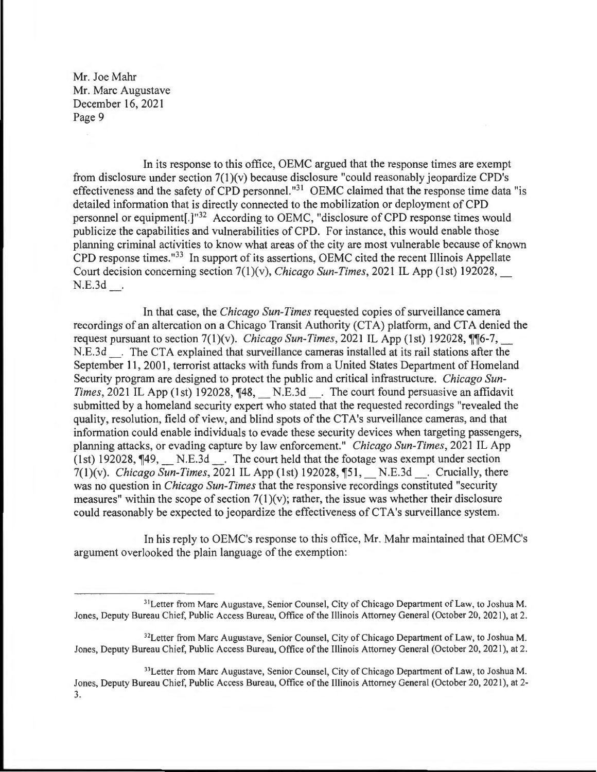In its response to this office, OEMC argued that the response times are exempt from disclosure under section 7(1)(v) because disclosure "could reasonably jeopardize CPD's effectiveness and the safety of CPD personnel."<sup>31</sup> OEMC claimed that the response time data "is detailed information that is directly connected to the mobilization or deployment of CPD personnel or equipment[.]"32 According to OEMC, "disclosure of CPD response times would publicize the capabilities and vulnerabilities of CPD. For instance, this would enable those planning criminal activities to know what areas of the city are most vulnerable because of known CPD response times. "33 In support of its assertions, OEMC cited the recent Illinois Appellate Court decision concerning section 7(1)(v), *Chicago Sun-Times,* 2021 IL App (1st) 192028, \_ N.E.3d

In that case, the *Chicago Sun-Times* requested copies of surveillance camera recordings of an altercation on a Chicago Transit Authority (CTA) platform, and CTA denied the request pursuant to section  $7(1)(v)$ . *Chicago Sun-Times*, 2021 IL App (1st) 192028,  $\P$ <sup>6-7</sup>, N.E.3d . The CTA explained that surveillance cameras installed at its rail stations after the September 11, 2001, terrorist attacks with funds from a United States Department of Homeland Security program are designed to protect the public and critical infrastructure. *Chicago Sun-Times,* 2021 IL App (1st) 192028,  $\P$ 48, N.E.3d . The court found persuasive an affidavit submitted by a homeland security expert who stated that the requested recordings "revealed the quality, resolution, field of view, and blind spots of the CTA's surveillance cameras, and that information could enable individuals to evade these security devices when targeting passengers, planning attacks, or evading capture by law enforcement." *Chicago Sun-Times,* 2021 IL App (1st) 192028,  $\P$ 49,  $N.E.3d$ . The court held that the footage was exempt under section 7(1)(v). *Chicago Sun-Times*, 2021 IL App (1st) 192028, [51, N.E.3d . Crucially, there was no question in *Chicago Sun-Times* that the responsive recordings constituted "security measures" within the scope of section  $7(1)(v)$ ; rather, the issue was whether their disclosure could reasonably be expected to jeopardize the effectiveness of CT A's surveillance system.

In his reply to OEMC's response to this office, Mr. Mahr maintained that OEMC's argument overlooked the plain language of the exemption:

<sup>&</sup>lt;sup>31</sup>Letter from Marc Augustave, Senior Counsel, City of Chicago Department of Law, to Joshua M. Jones, Deputy Bureau Chief, Public Access Bureau, Office of the Illinois Attorney General (October 20, 2021 ), at 2.

<sup>32</sup>Letter from Marc Augustave, Senior Counsel, City of Chicago Department of Law, to Joshua M. Jones, Deputy Bureau Chief, Public Access Bureau, Office of the Illinois Attorney General (October 20, 2021), at 2.

<sup>&</sup>lt;sup>33</sup>Letter from Marc Augustave, Senior Counsel, City of Chicago Department of Law, to Joshua M. Jones, Deputy Bureau Chief, Public Access Bureau, Office of the Illinois Attorney General (October 20, 2021), at 2- 3.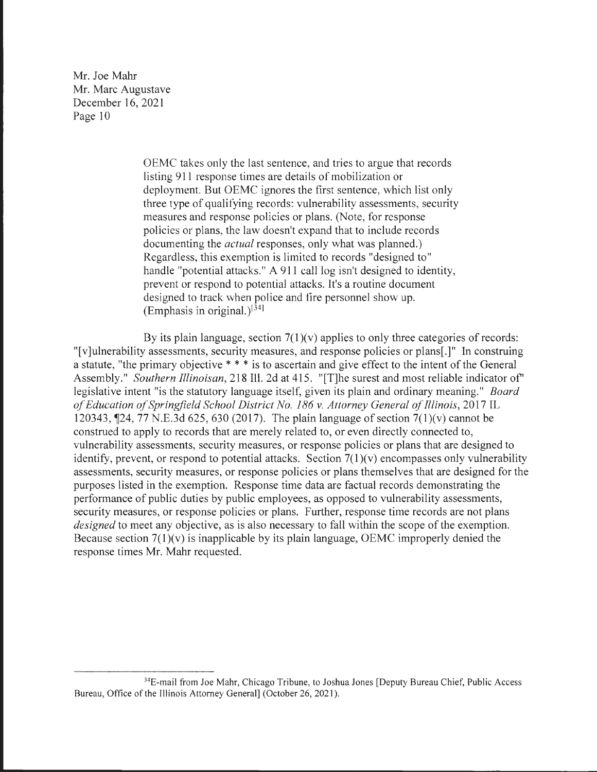> OEMC takes only the last sentence, and tries to argue that records listing 911 response times are details of mobilization or deployment. But OEMC ignores the first sentence, which list only three type of qualifying records: vulnerability assessments, security measures and response policies or plans. (Note, for response policies or plans, the law doesn't expand that to include records documenting the *actual* responses, only what was planned.) Regardless, this exemption is limited to records "designed to" handle "potential attacks." A 911 call log isn't designed to identity, prevent or respond to potential attacks. It's a routine document designed to track when police and fire personnel show up. (Emphasis in original.)<sup>[34]</sup>

By its plain language, section  $7(1)(v)$  applies to only three categories of records: "[v]ulnerability assessments, security measures, and response policies or plans[.]" In construing a statute, "the primary objective \* \* \* is to ascertain and give effect to the intent of the General Assembly." *Southern Illinoisan,* 218 Ill. 2d at 415. "[T]he surest and most reliable indicator of" legislative intent "is the statutory language itself, given its plain and ordinary meaning." *Board of Education of Springfield School District No. 186 v. Attorney General of Illinois,* 2017 IL 120343, **124,** 77 N.E.3d 625, 630 (2017). The plain language of section 7(1)(v) cannot be construed to apply to records that are merely related to, or even directly connected to, vulnerability assessments, security measures, or response policies or plans that are designed to identify, prevent, or respond to potential attacks. Section  $7(1)(v)$  encompasses only vulnerability assessments, security measures, or response policies or plans themselves that are designed for the purposes listed in the exemption. Response time data are factual records demonstrating the performance of public duties by public employees, as opposed to vulnerability assessments, security measures, or response policies or plans. Further, response time records are not plans *designed* to meet any objective, as is also necessary to fall within the scope of the exemption. Because section  $7(1)(v)$  is inapplicable by its plain language, OEMC improperly denied the response times Mr. Mahr requested.

<sup>&</sup>lt;sup>34</sup>E-mail from Joe Mahr, Chicago Tribune, to Joshua Jones [Deputy Bureau Chief, Public Access Bureau, Office of the Illinois Attorney General] (October 26, 2021).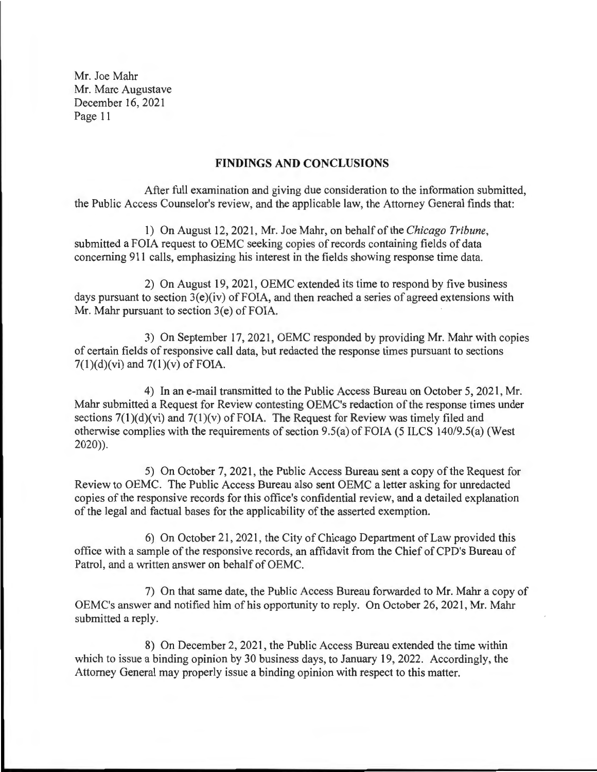#### **FINDINGS AND CONCLUSIONS**

After full examination and giving due consideration to the information submitted, the Public Access Counselor's review, and the applicable law, the Attorney General finds that:

1) On August 12, 2021 , Mr. Joe Mahr, on behalf of the *Chicago Tribune,*  submitted a FOIA request to OEMC seeking copies of records containing fields of data concerning 911 calls, emphasizing his interest in the fields showing response time data.

2) On August 19, 2021, OEMC extended its time to respond by five business days pursuant to section  $3(e)(iv)$  of FOIA, and then reached a series of agreed extensions with Mr. Mahr pursuant to section 3(e) of FOIA.

3) On September 17, 2021, OEMC responded by providing Mr. Mahr with copies of certain fields of responsive call data, but redacted the response times pursuant to sections  $7(1)(d)(vi)$  and  $7(1)(v)$  of FOIA.

4) In an e-mail transmitted to the Public Access Bureau on October 5, 2021, Mr. Mahr submitted a Request for Review contesting OEMC's redaction of the response times under sections  $7(1)(d)(vi)$  and  $7(1)(v)$  of FOIA. The Request for Review was timely filed and otherwise complies with the requirements of section 9.5(a) of FOIA (5 ILCS 140/9.5(a) (West 2020)).

5) On October 7, 2021, the Public Access Bureau sent a copy of the Request for Review to OEMC. The Public Access Bureau also sent OEMC a letter asking for unredacted copies of the responsive records for this office's confidential review, and a detailed explanation of the legal and factual bases for the applicability of the asserted exemption.

6) On October 21, 2021, the City of Chicago Department of Law provided this office with a sample of the responsive records, an affidavit from the Chief of CPD's Bureau of Patrol, and a written answer on behalf of OEMC.

7) On that same date, the Public Access Bureau forwarded to Mr. Mahr a copy of OEMC's answer and notified him of his opportunity to reply. On October 26, 2021, Mr. Mahr submitted a reply.

8) On December 2, 2021, the Public Access Bureau extended the time within which to issue a binding opinion by 30 business days, to January 19, 2022. Accordingly, the Attorney General may properly issue a binding opinion with respect to this matter.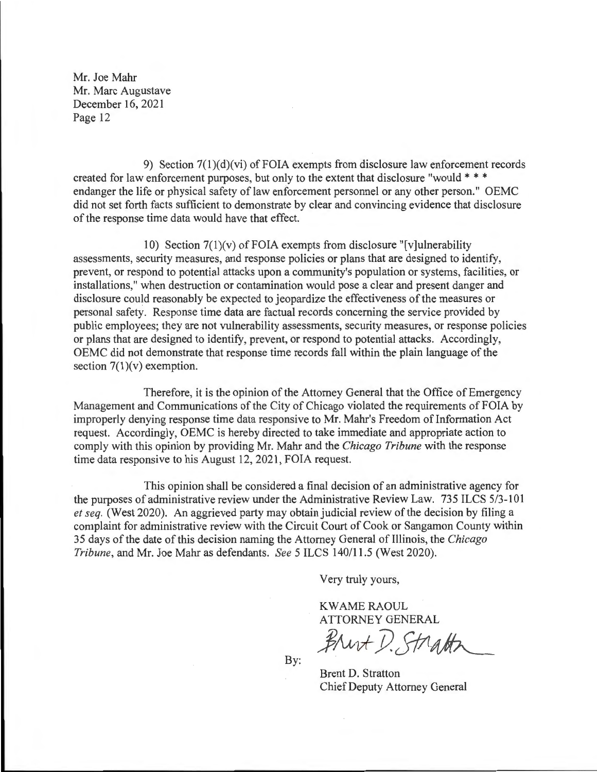9) Section 7(1)(d)(vi) of FOIA exempts from disclosure law enforcement records created for law enforcement purposes, but only to the extent that disclosure "would \* \* \* endanger the life or physical safety of law enforcement personnel or any other person." OEMC did not set forth facts sufficient to demonstrate by clear and convincing evidence that disclosure of the response time data would have that effect.

10) Section  $7(1)(v)$  of FOIA exempts from disclosure "[v]ulnerability assessments, security measures, and response policies or plans that are designed to identify, prevent, or respond to potential attacks upon a community's population or systems, facilities, or installations," when destruction or contamination would pose a clear and present danger and disclosure could reasonably be expected to jeopardize the effectiveness of the measures or personal safety. Response time data are factual records concerning the service provided by public employees; they are not vulnerability assessments, security measures, or response policies or plans that are designed to identify, prevent, or respond to potential attacks. Accordingly, OEMC did not demonstrate that response time records fall within the plain language of the section  $7(1)(v)$  exemption.

Therefore, it is the opinion of the Attorney General that the Office of Emergency Management and Communications of the City of Chicago violated the requirements of FOIA by improperly denying response time data responsive to Mr. Mahr's Freedom of Information Act request. Accordingly, OEMC is hereby directed to take immediate and appropriate action to comply with this opinion by providing Mr. Mahr and the *Chicago Tribune* with the response time data responsive to his August 12, 2021, FOIA request.

This opinion shall be considered a final decision of an administrative agency for the purposes of administrative review under the Administrative Review Law. 735 ILCS 5/3-101 *et seq.* (West 2020). An aggrieved party may obtain judicial review of the decision by filing a complaint for administrative review with the Circuit Court of Cook or Sangamon County within 35 days of the date of this decision naming the Attorney General of Illinois, the *Chicago Tribune ,* and Mr. Joe Mahr as defendants. *See* 5 ILCS 140/11.5 (West 2020).

Very truly yours,

**KWAME RAOUL** ATTORNEY GENERAL

Brut D. Strath

By:

Brent D. Stratton Chief Deputy Attorney General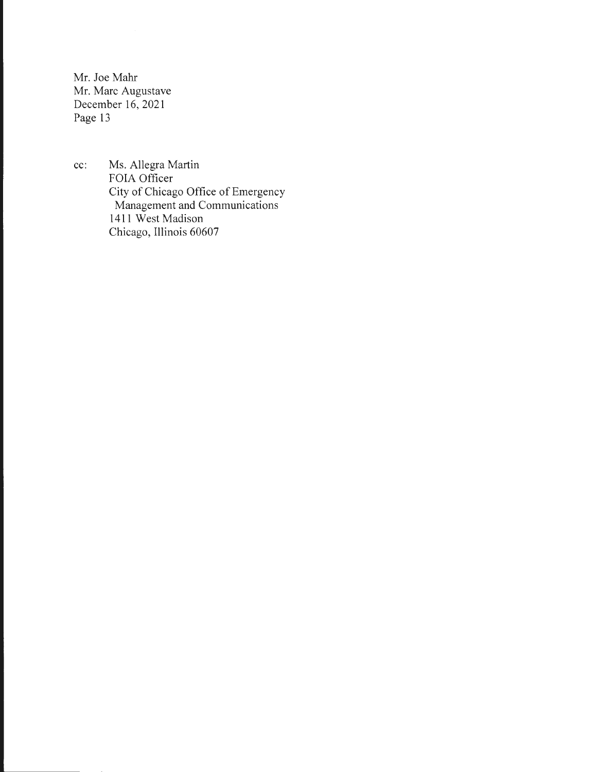cc: Ms. Allegra Martin FOIA Officer City of Chicago Office of Emergency Management and Communications **1411** West Madison Chicago, Illinois 60607